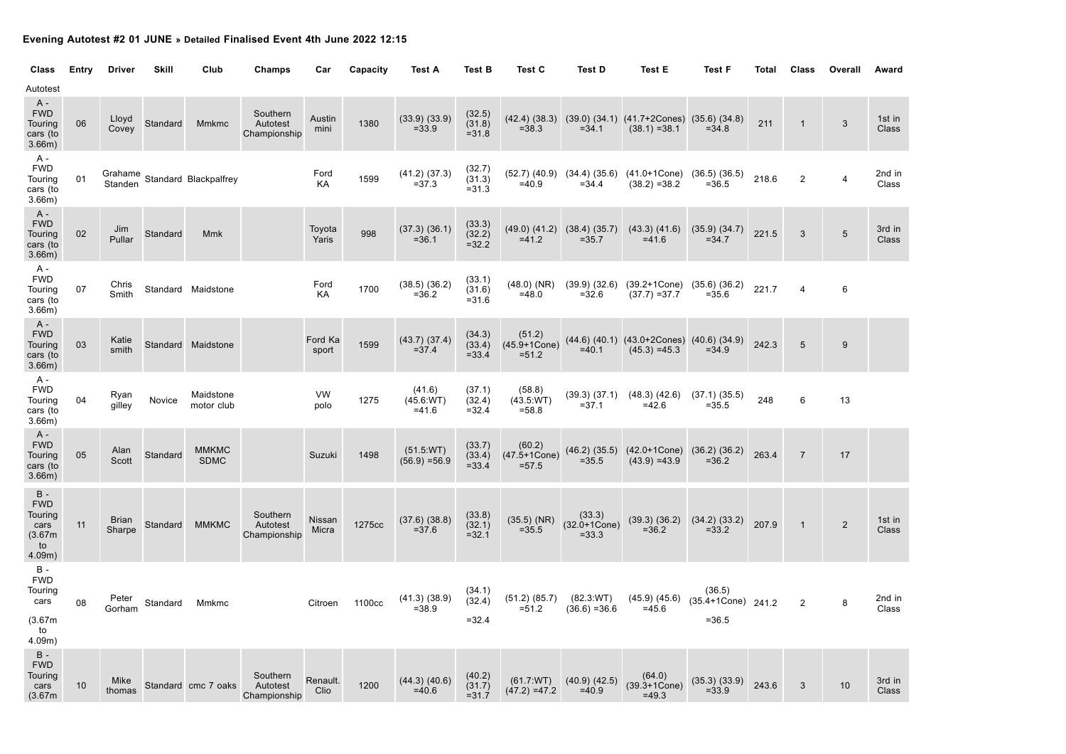## **Evening Autotest #2 01 JUNE » Detailed Finalised Event 4th June 2022 12:15**

| Class                                                             | Entry | <b>Driver</b>          | <b>Skill</b> | Club                          | Champs                               | Car              | Capacity | <b>Test A</b>                  | <b>Test B</b>                | Test C                                 | Test D                                          | <b>Test E</b>                                                                    | <b>Test F</b>                                                 | Total | Class          | Overall        | Award           |
|-------------------------------------------------------------------|-------|------------------------|--------------|-------------------------------|--------------------------------------|------------------|----------|--------------------------------|------------------------------|----------------------------------------|-------------------------------------------------|----------------------------------------------------------------------------------|---------------------------------------------------------------|-------|----------------|----------------|-----------------|
| Autotest                                                          |       |                        |              |                               |                                      |                  |          |                                |                              |                                        |                                                 |                                                                                  |                                                               |       |                |                |                 |
| A -<br><b>FWD</b><br>Touring<br>cars (to<br>3.66m)                | 06    | Lloyd<br>Covey         | Standard     | Mmkmc                         | Southern<br>Autotest<br>Championship | Austin<br>mini   | 1380     | $(33.9)$ $(33.9)$<br>$= 33.9$  | (32.5)<br>(31.8)<br>$= 31.8$ | $= 38.3$                               | $= 34.1$                                        | $(42.4)$ $(38.3)$ $(39.0)$ $(34.1)$ $(41.7 + 2 \text{Cones})$<br>$(38.1) = 38.1$ | $(35.6)$ $(34.8)$<br>$= 34.8$                                 | 211   | $\mathbf{1}$   | $\sqrt{3}$     | 1st in<br>Class |
| A -<br><b>FWD</b><br>Touring<br>cars (to<br>3.66m)                | 01    |                        |              | Grahame Standard Blackpalfrey |                                      | Ford<br>KA       | 1599     | $(41.2)$ $(37.3)$<br>$= 37.3$  | (32.7)<br>(31.3)<br>$= 31.3$ | $=40.9$                                | $= 34.4$                                        | $(52.7)$ $(40.9)$ $(34.4)$ $(35.6)$ $(41.0+1Cone)$<br>$(38.2) = 38.2$            | $(36.5)$ $(36.5)$<br>$= 36.5$                                 | 218.6 | $\overline{2}$ | $\overline{4}$ | 2nd in<br>Class |
| $A -$<br><b>FWD</b><br>Touring<br>cars (to<br>3.66m)              | 02    | Jim<br>Pullar          | Standard     | <b>Mmk</b>                    |                                      | Toyota<br>Yaris  | 998      | (37.3) (36.1)<br>$= 36.1$      | (33.3)<br>(32.2)<br>$= 32.2$ | $=41.2$                                | $(49.0)$ $(41.2)$ $(38.4)$ $(35.7)$<br>$= 35.7$ | $(43.3)$ $(41.6)$<br>$=41.6$                                                     | $(35.9)$ $(34.7)$<br>$= 34.7$                                 | 221.5 | 3              | 5              | 3rd in<br>Class |
| A -<br><b>FWD</b><br>Touring<br>cars (to<br>3.66m)                | 07    | Chris<br>Smith         |              | Standard Maidstone            |                                      | Ford<br>KA       | 1700     | $(38.5)$ $(36.2)$<br>$= 36.2$  | (33.1)<br>(31.6)<br>$= 31.6$ | $(48.0)$ (NR)<br>$=48.0$               | $(39.9)$ $(32.6)$<br>$= 32.6$                   | $(39.2 + 1Cone)$<br>$(37.7) = 37.7$                                              | $(35.6)$ $(36.2)$<br>$= 35.6$                                 | 221.7 | 4              | $\,6\,$        |                 |
| $A -$<br><b>FWD</b><br>Touring<br>cars (to<br>3.66m)              | 03    | Katie<br>smith         |              | Standard Maidstone            |                                      | Ford Ka<br>sport | 1599     | $(43.7)$ $(37.4)$<br>$= 37.4$  | (34.3)<br>(33.4)<br>$= 33.4$ | (51.2)<br>$(45.9 + 1Cone)$<br>$= 51.2$ | $=40.1$                                         | $(44.6)$ $(40.1)$ $(43.0+2Cones)$<br>$(45.3) = 45.3$                             | $(40.6)$ $(34.9)$<br>$= 34.9$                                 | 242.3 | 5              | $9\,$          |                 |
| A -<br><b>FWD</b><br>Touring<br>cars (to<br>3.66m)                | 04    | Ryan<br>gilley         | Novice       | Maidstone<br>motor club       |                                      | VW<br>polo       | 1275     | (41.6)<br>(45.6:WT)<br>$=41.6$ | (37.1)<br>(32.4)<br>$= 32.4$ | (58.8)<br>(43.5:WT)<br>$= 58.8$        | $= 37.1$                                        | $(39.3)$ $(37.1)$ $(48.3)$ $(42.6)$<br>$=42.6$                                   | (37.1) (35.5)<br>$= 35.5$                                     | 248   | 6              | 13             |                 |
| $A -$<br><b>FWD</b><br>Touring<br>cars (to<br>3.66m)              | 05    | Alan<br>Scott          | Standard     | <b>MMKMC</b><br><b>SDMC</b>   |                                      | Suzuki           | 1498     | (51.5:WT)<br>$(56.9) = 56.9$   | (33.7)<br>(33.4)<br>$= 33.4$ | (60.2)<br>$(47.5 + 1Cone)$<br>$= 57.5$ | $= 35.5$                                        | $(46.2)$ $(35.5)$ $(42.0+1Cone)$<br>$(43.9) = 43.9$                              | (36.2) (36.2)<br>$= 36.2$                                     | 263.4 | $\overline{7}$ | 17             |                 |
| $B -$<br><b>FWD</b><br>Touring<br>cars<br>(3.67m)<br>to<br>4.09m) | 11    | <b>Brian</b><br>Sharpe | Standard     | <b>MMKMC</b>                  | Southern<br>Autotest<br>Championship | Nissan<br>Micra  | 1275cc   | $(37.6)$ $(38.8)$<br>$= 37.6$  | (33.8)<br>(32.1)<br>$= 32.1$ | $(35.5)$ (NR)<br>$= 35.5$              | (33.3)<br>$(32.0 + 1Cone)$<br>$= 33.3$          | (39.3) (36.2)<br>$= 36.2$                                                        | (34.2) (33.2)<br>$= 33.2$                                     | 207.9 | $\mathbf{1}$   | $\overline{2}$ | 1st in<br>Class |
| $\, {\bf B}$ -<br><b>FWD</b><br>Touring<br>cars<br>(3.67m)<br>to  | 08    | Peter<br>Gorham        | Standard     | Mmkmc                         |                                      | Citroen          | 1100cc   | $(41.3)$ $(38.9)$<br>$= 38.9$  | (34.1)<br>(32.4)<br>$= 32.4$ | (51.2) (85.7)<br>$= 51.2$              | (82.3:WT)<br>$(36.6) = 36.6$                    | $=45.6$                                                                          | (36.5)<br>$(45.9)$ $(45.6)$ $(35.4+1$ Cone) 241.2<br>$= 36.5$ |       | $\overline{2}$ | 8              | 2nd in<br>Class |
| 4.09m)<br>$B -$<br><b>FWD</b><br>Touring<br>cars<br>(3.67m)       | 10    | Mike<br>thomas         |              | Standard cmc 7 oaks           | Southern<br>Autotest<br>Championship | Renault.<br>Clio | 1200     | $(44.3)$ $(40.6)$<br>$=40.6$   | (40.2)<br>(31.7)<br>$= 31.7$ | (61.7:WT)<br>$(47.2) = 47.2$           | $(40.9)$ $(42.5)$<br>$=40.9$                    | (64.0)<br>$(39.3 + 1Cone)$<br>$=49.3$                                            | $(35.3)$ $(33.9)$<br>$= 33.9$                                 | 243.6 | 3              | 10             | 3rd in<br>Class |